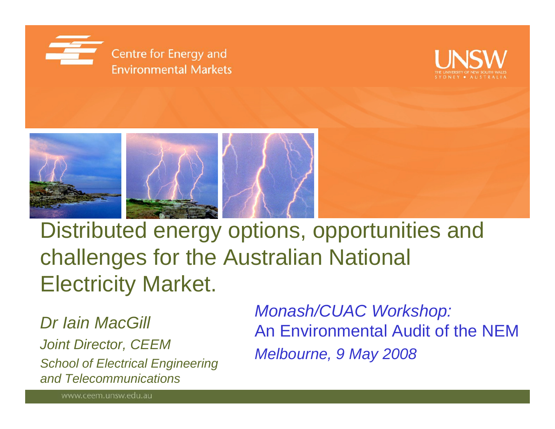





Distributed energy options, opportunities and challenges for the Australian National Electricity Market.

*Dr Iain MacGill Joint Director, CEEM School of Electrical Engineering and Telecommunications*

*Monash/CUAC Workshop:* An Environmental Audit of the NEM*Melbourne, 9 May 2008*

www.ceem.unsw.edu.au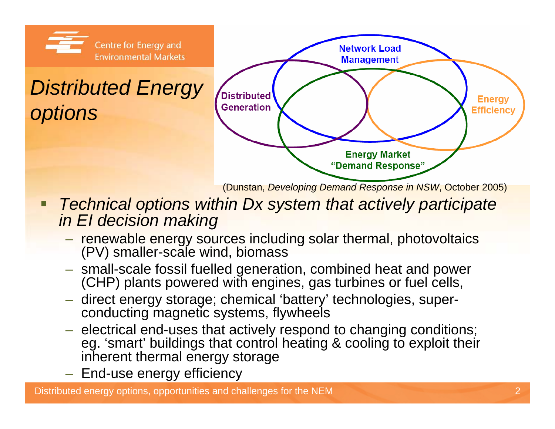

(Dunstan, *Developing Demand Response in NSW*, October 2005)

- $\blacksquare$  *Technical options within Dx system that actively participate in EI decision making*
	- $-$  renewable energy sources including solar thermal, photovoltaics (PV) smaller-scale wind, biomass
	- small-scale fossil fuelled generation, combined heat and power (CHP) plants powered with engines, gas turbines or fuel cells,
	- $-$  direct energy storage; chemical 'battery' technologies, superconducting magnetic systems, flywheels
	- $-$  electrical end-uses that actively respond to changing conditions; eg. 'smart' buildings that control heating & cooling to exploit their inherent thermal energy storage
	- $-$  End-use energy efficiency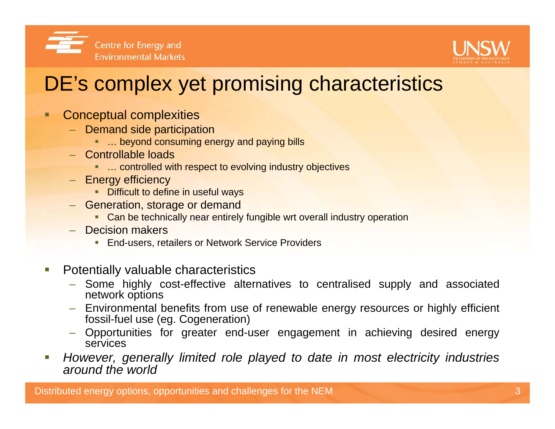



#### DE's complex yet promising characteristics

- о Conceptual complexities
	- Demand side participation
		- … beyond consuming energy and paying bills
	- Controllable loads
		- … controlled with respect to evolving industry objectives
	- Energy efficiency
		- **•** Difficult to define in useful ways
	- Generation, storage or demand
		- **Can be technically near entirely fungible wrt overall industry operation**
	- Decision makers
		- **End-users, retailers or Network Service Providers**
- Г Potentially valuable characteristics
	- Some highly cost-effective alternatives to centralised supply and associated network options
	- Environmental benefits from use of renewable energy resources or highly efficient fossil-fuel use (eg. Cogeneration)
	- Opportunities for greater end-user engagement in achieving desired energy services
- Г *However, generally limited role played to date in most electricity industries around the world*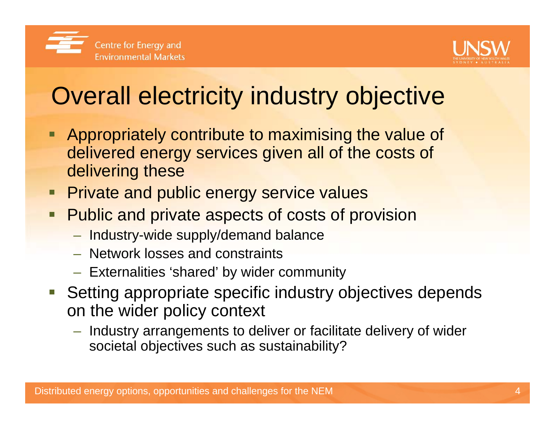



## Overall electricity industry objective

- **Appropriately contribute to maximising the value of** delivered energy services given all of the costs of delivering these
- **Private and public energy service values**
- **Public and private aspects of costs of provision** 
	- Industry-wide supply/demand balance
	- Network losses and constraints
	- $-$  Externalities 'shared' by wider community
- **Setting appropriate specific industry objectives depends** on the wider policy context
	- $-$  Industry arrangements to deliver or facilitate delivery of wider societal objectives such as sustainability?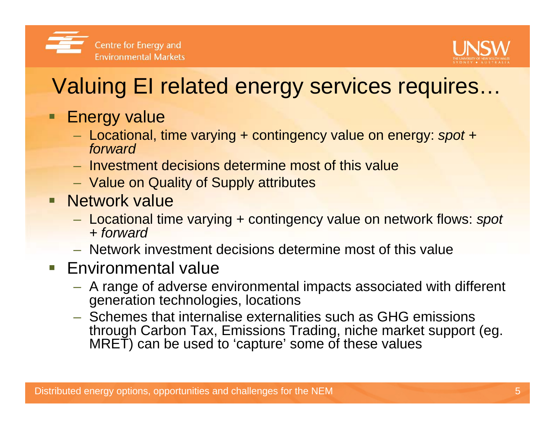



### Valuing EI related energy services requires…

- $\blacksquare$  Energy value
	- Locational, time varying + contingency value on energy: *spot + forward*
	- Investment decisions determine most of this value
	- Value on Quality of Supply attributes
- **Network value** 
	- Locational time varying + contingency value on network flows: *spot + forward*
	- Network investment decisions determine most of this value
- **Environmental value** 
	- A range of adverse environmental impacts associated with different generation technologies, locations
	- Schemes that internalise externalities such as GHG emissions through Carbon Tax, Emissions Trading, niche market support (eg. MRET) can be used to 'capture' some of these values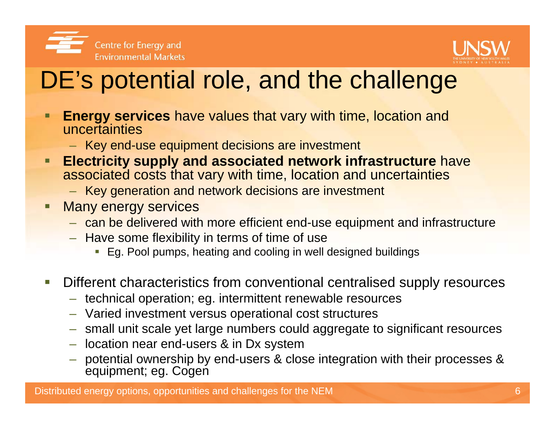



## DE's potential role, and the challenge

- **Energy services** have values that vary with time, location and uncertainties
	- Key end-use equipment decisions are investment
- $\blacksquare$  **Electricity supply and associated network infrastructure** have associated costs that vary with time, location and uncertainties
	- Key generation and network decisions are investment
- Ξ Many energy services
	- can be delivered with more efficient end-use equipment and infrastructure
	- Have some flexibility in terms of time of use
		- Eg. Pool pumps, heating and cooling in well designed buildings
- **Service Service**  Different characteristics from conventional centralised supply resources
	- technical operation; eg. intermittent renewable resources
	- Varied investment versus operational cost structures
	- small unit scale yet large numbers could aggregate to significant resources
	- location near end-users & in Dx system
	- potential ownership by end-users & close integration with their processes & equipment; eg. Cogen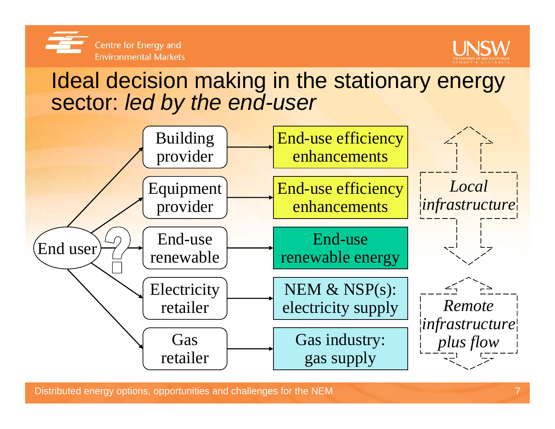



#### Ideal decision making in the stationary energy sector: *led by the end-user*

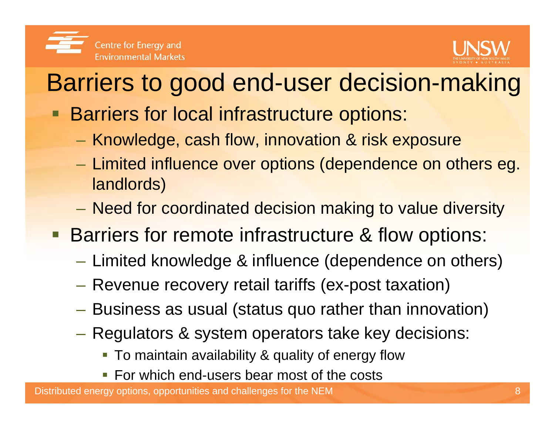

# Barriers to good end-user decision-making

- **Barriers for local infrastructure options:** 
	- Knowledge, cash flow, innovation & risk exposure
	- Limited influence over options (dependence on others eg. landlords)
	- –Need for coordinated decision making to value diversity
- **Barriers for remote infrastructure & flow options:** 
	- $\mathcal{L}_{\mathcal{A}}$  $-$  Limited knowledge & influence (dependence on others)
	- $\mathcal{L}_{\mathcal{A}}$ Revenue recovery retail tariffs (ex-post taxation)
	- $\mathcal{L}_{\mathcal{A}}$ Business as usual (status quo rather than innovation)
	- $\mathcal{L}_{\mathcal{A}}$  Regulators & system operators take key decisions:
		- To maintain availability & quality of energy flow
		- **For which end-users bear most of the costs**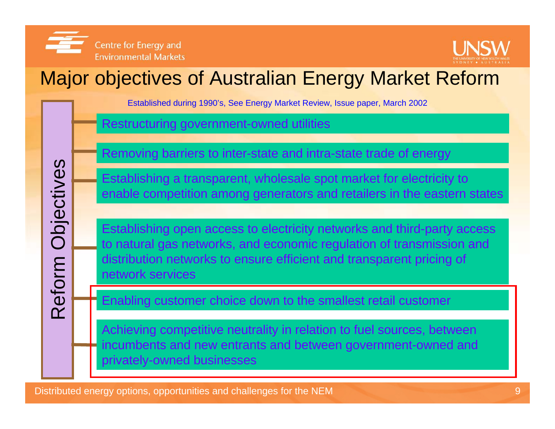

Reform Objectives

Reform

Objectives



#### Major objectives of Australian Energy Market Reform

Established during 1990's, See Energy Market Review, Issue paper, March 2002

Restructuring government-owned utilities

Removing barriers to inter-state and intra-state trade of energy

Establishing a transparent, wholesale spot market for electricity to enable competition among generators and retailers in the eastern states

Establishing open access to electricity networks and third-party access to natural gas networks, and economic regulation of transmission and distribution networks to ensure efficient and transparent pricing of network services

Enabling customer choice down to the smallest retail customer

Achieving competitive neutrality in relation to fuel sources, between incumbents and new entrants and between government-owned and privately-owned businesses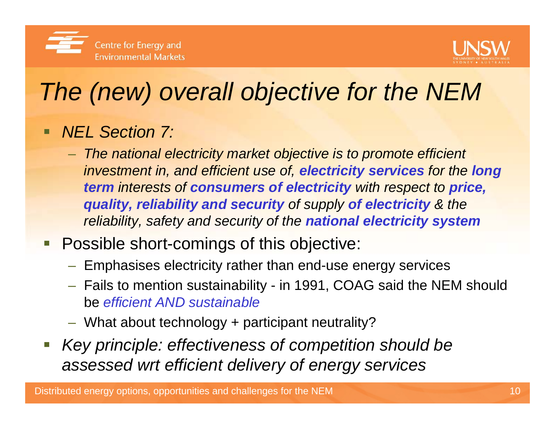



# *The (new) overall objective for the NEM*

#### *NEL Section 7:*

 *The national electricity market objective is to promote efficient investment in, and efficient use of, electricity services for the long term interests of consumers of electricity with respect to price, quality, reliability and security of supply of electricity & the reliability, safety and security of the national electricity system*

#### **Possible short-comings of this objective:**

- $-$  Emphasises electricity rather than end-use energy services
- Fails to mention sustainability in 1991, COAG said the NEM should be *efficient AND sustainable*
- What about technology + participant neutrality?
- I. *Key principle: effectiveness of competition should be assessed wrt efficient delivery of energy services*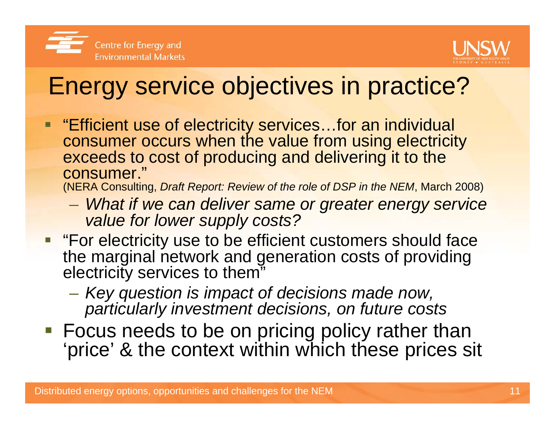



## Energy service objectives in practice?

 $\blacksquare$  "Efficient use of electricity services…for an individual consumer occurs when the value from using electricity exceeds to cost of producing and delivering it to the consumer."

(NERA Consulting, *Draft Report: Review of the role of DSP in the NEM*, March 2008)

- *What if we can deliver same or greater energy service value for lower supply costs?*
- **Fumily 1.5 For electricity use to be efficient customers should face** the marginal network and generation costs of providing electricity services to them"
	- *Key question is impact of decisions made now, particularly investment decisions, on future costs*
- **Focus needs to be on pricing policy rather than** 'price' & the context within which these prices sit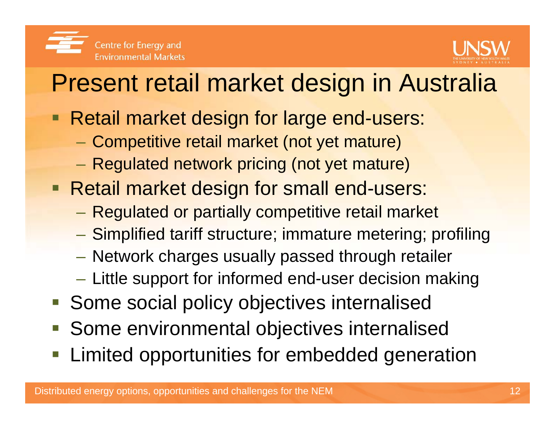

# Present retail market design in Australia

- **Retail market design for large end-users:** 
	- Competitive retail market (not yet mature)
	- Regulated network pricing (not yet mature)
- **Retail market design for small end-users:** 
	- –Regulated or partially competitive retail market
	- Simplified tariff structure; immature metering; profiling
	- Network charges usually passed through retailer
	- $-$  Little support for informed end-user decision making
- Some social policy objectives internalised
- **Some environmental objectives internalised**
- Limited opportunities for embedded generation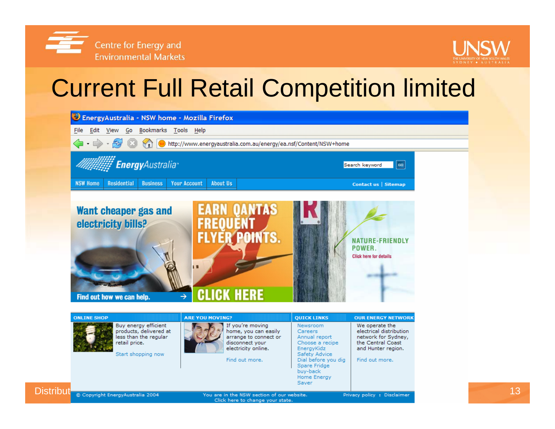



### Current Full Retail Competition limited



|                        | <b>ONLINE SHOP</b> |                                                                                                                | <b>ARE YOU MOVING?</b>                                                                                                        | <b>QUICK LINKS</b>                                                                                                                                                | <b>OUR ENERGY NETWORK</b>                                                                                                     |
|------------------------|--------------------|----------------------------------------------------------------------------------------------------------------|-------------------------------------------------------------------------------------------------------------------------------|-------------------------------------------------------------------------------------------------------------------------------------------------------------------|-------------------------------------------------------------------------------------------------------------------------------|
|                        |                    | Buy energy efficient<br>products, delivered at<br>less than the regular<br>retail price.<br>Start shopping now | If you're moving<br>home, you can easily<br>arrange to connect or<br>disconnect your<br>electricity online.<br>Find out more. | Newsroom<br>Careers<br>Annual report<br>Choose a recipe<br>EnergyKidz<br>Safety Advice<br>Dial before you dig<br>Spare Fridge<br>buy-back<br>Home Energy<br>Saver | We operate the<br>electrical distribution<br>network for Sydney,<br>the Central Coast<br>and Hunter region.<br>Find out more. |
| Distribut <sup>i</sup> |                    |                                                                                                                |                                                                                                                               |                                                                                                                                                                   |                                                                                                                               |
|                        |                    | @ Copyright EnergyAustralia 2004<br>You are in the NSW section of our website.                                 |                                                                                                                               |                                                                                                                                                                   | Privacy policy : Disclaimer                                                                                                   |

Click here to change your state.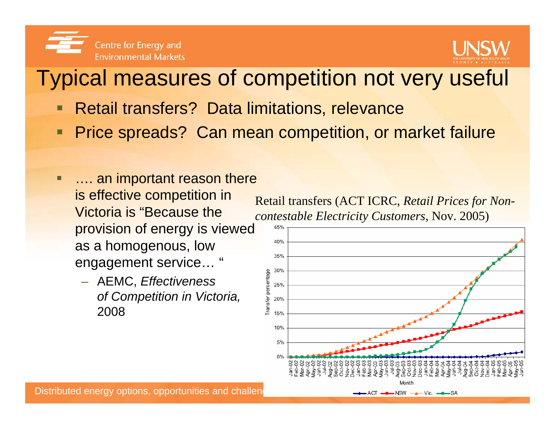



#### Typical measures of competition not very useful

- Retail transfers? Data limitations, relevance
- $\blacksquare$ Price spreads? Can mean competition, or market failure
- Ξ …. an important reason there is effective competition in Victoria is "Because the provision of energy is viewed as a homogenous, low engagement service… "
	- AEMC, *Effectiveness of Competition in Victoria,* 2008

Retail transfers (ACT ICRC, *Retail Prices for Noncontestable Electricity Customers*, Nov. 2005)

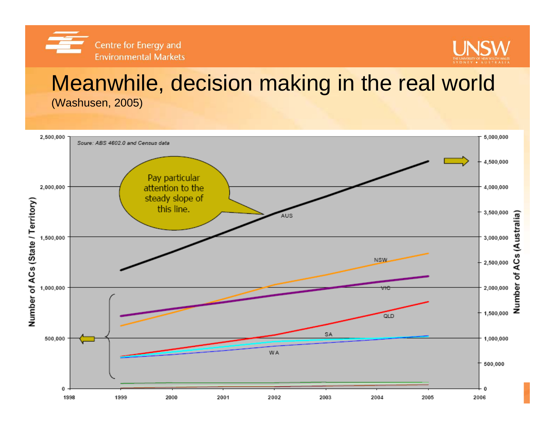



#### Meanwhile, decision making in the real world (Washusen, 2005)

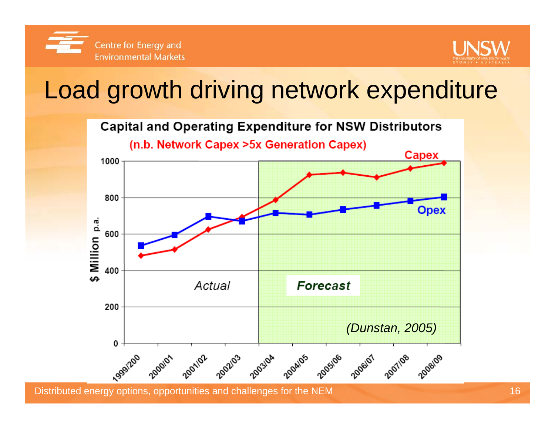



## Load growth driving network expenditure

**Capital and Operating Expenditure for NSW Distributors** 

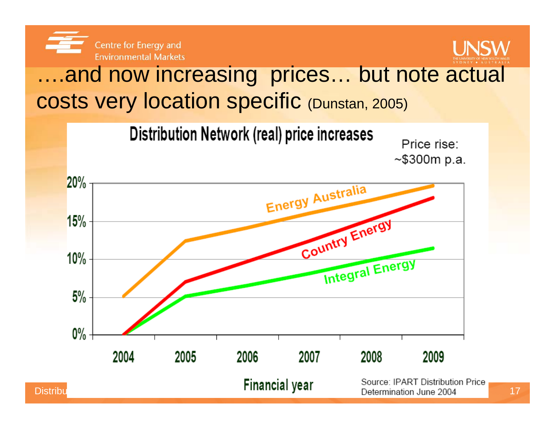



#### ….and now increasing prices… but note actual costs very location specific (Dunstan, 2005)

Distribution Network (real) price increases

Price rise:  $~5300m$  p.a.

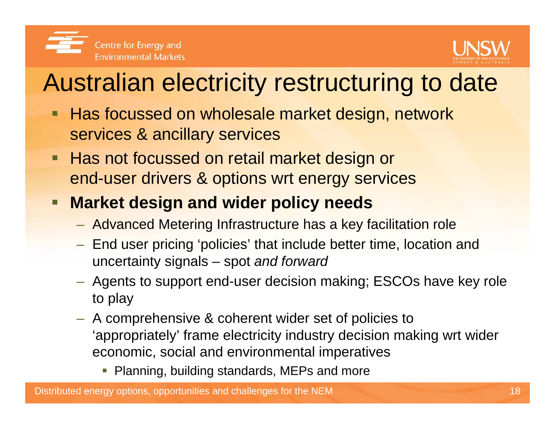



## Australian electricity restructuring to date

- Г Has focussed on wholesale market design, network services & ancillary services
- **Has not focussed on retail market design or** end-user drivers & options wrt energy services

#### I. **Market design and wider policy needs**

- Advanced Metering Infrastructure has a key facilitation role
- End user pricing 'policies' that include better time, location and uncertainty signals – spot *and forward*
- Agents to support end-user decision making; ESCOs have key role to play
- A comprehensive & coherent wider set of policies to 'appropriately' frame electricity industry decision making wrt wider economic, social and environmental imperatives
	- **Planning, building standards, MEPs and more**